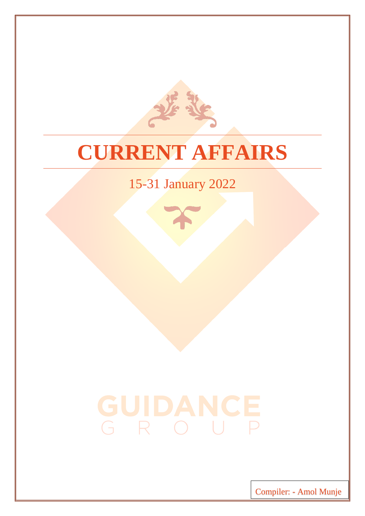

### **CURRENT AFFAIRS**

### 15-31 January 2022

## GUIDANCE

Compiler: - Amol Munje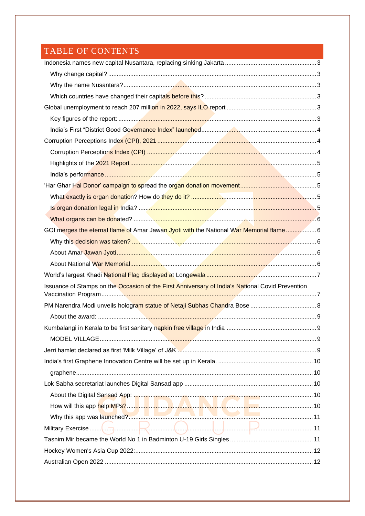#### TABLE OF CONTENTS

| GOI merges the eternal flame of Amar Jawan Jyoti with the National War Memorial flame 6          |  |
|--------------------------------------------------------------------------------------------------|--|
|                                                                                                  |  |
|                                                                                                  |  |
|                                                                                                  |  |
|                                                                                                  |  |
| Issuance of Stamps on the Occasion of the First Anniversary of India's National Covid Prevention |  |
|                                                                                                  |  |
|                                                                                                  |  |
|                                                                                                  |  |
|                                                                                                  |  |
|                                                                                                  |  |
|                                                                                                  |  |
|                                                                                                  |  |
|                                                                                                  |  |
|                                                                                                  |  |
|                                                                                                  |  |
|                                                                                                  |  |
|                                                                                                  |  |
|                                                                                                  |  |
|                                                                                                  |  |
|                                                                                                  |  |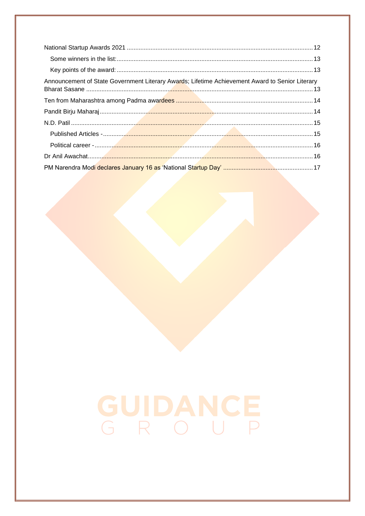| Announcement of State Government Literary Awards; Lifetime Achievement Award to Senior Literary |  |
|-------------------------------------------------------------------------------------------------|--|
|                                                                                                 |  |
|                                                                                                 |  |
|                                                                                                 |  |
|                                                                                                 |  |
|                                                                                                 |  |
|                                                                                                 |  |
|                                                                                                 |  |

# GUIDANCE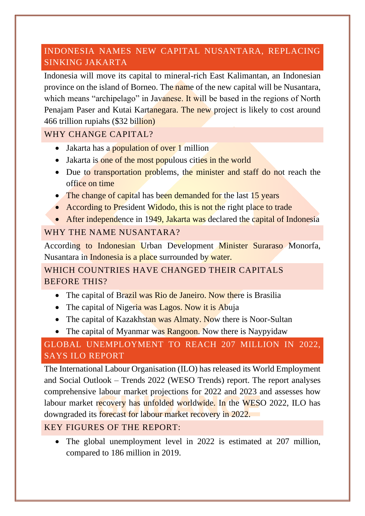#### <span id="page-3-0"></span>INDONESIA NAMES NEW CAPITAL NUSANTARA, REPLACING SINKING JAKARTA

Indonesia will move its capital to mineral-rich East Kalimantan, an Indonesian province on the island of Borneo. The name of the new capital will be Nusantara, which means "archipelago" in Javanese. It will be based in the regions of North Penajam Paser and Kutai Kartanegara. The new project is likely to cost around 466 trillion rupiahs (\$32 billion)

#### <span id="page-3-1"></span>WHY CHANGE CAPITAL?

- Jakarta has a **population of over 1** million
- Jakarta is one of the most populous cities in the world
- Due to transportation problems, the minister and staff do not reach the office on time
- The change of capital has been demanded for the last 15 years
- According to President Widodo, this is not the right place to trade
- After independence in 1949, Jakarta was declared the capital of Indonesia

#### <span id="page-3-2"></span>WHY THE NAME NUSANTARA?

According to Indonesian Urban Development Minister Suraraso Monorfa, Nusantara in *Indonesia* is a place surrounded by water.

#### <span id="page-3-3"></span>WHICH COUNTRIES HAVE CHANGED THEIR CAPITALS BEFORE THIS?

- The capital of Brazil was Rio de Janeiro. Now there is Brasilia
- The capital of Nigeria was Lagos. Now it is Abuja
- The capital of Kazakhstan was Almaty. Now there is Noor-Sultan
- The capital of Myanmar was Rangoon. Now there is Naypyidaw

#### <span id="page-3-4"></span>GLOBAL UNEMPLOYMENT TO REACH 207 MILLION IN 2022, SAYS ILO REPORT

The International Labour Organisation (ILO) has released its World Employment and Social Outlook – Trends 2022 (WESO Trends) report. The report analyses comprehensive labour market projections for 2022 and 2023 and assesses how labour market recovery has unfolded worldwide. In the WESO 2022, ILO has downgraded its forecast for labour market recovery in 2022.

#### <span id="page-3-5"></span>KEY FIGURES OF THE REPORT:

• The global unemployment level in 2022 is estimated at 207 million, compared to 186 million in 2019.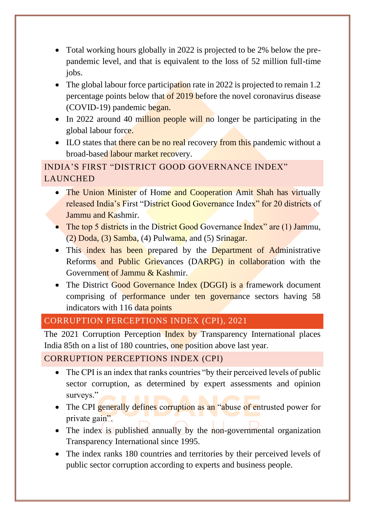- Total working hours globally in 2022 is projected to be 2% below the prepandemic level, and that is equivalent to the loss of 52 million full-time jobs.
- The global labour force participation rate in 2022 is projected to remain 1.2 percentage points below that of 2019 before the novel coronavirus disease (COVID-19) pandemic began.
- In 2022 around 40 million people will no longer be participating in the global labour force.
- ILO states that there can be no real recovery from this pandemic without a broad-based labour market recovery.

#### <span id="page-4-0"></span>INDIA'S FIRST "DISTRICT GOOD GOVERNANCE INDEX" LAUNCHED

- The Union Minister of Home and Cooperation Amit Shah has virtually released India's First "District Good Governance Index" for 20 districts of Jammu and Kashmir.
- The top 5 districts in the District Good Governance Index" are (1) Jammu,  $(2)$  Doda,  $(3)$  Samba,  $(4)$  Pulwama, and  $(5)$  Srinagar.
- This index has been prepared by the Department of Administrative Reforms and Public Grievances (DARPG) in collaboration with the Government of Jammu & Kashmir.
- The District Good Governance Index (DGGI) is a framework document comprising of performance under ten governance sectors having 58 indicators with 116 data points

#### <span id="page-4-1"></span>CORRUPTION PERCEPTIONS INDEX (CPI), 2021

The 2021 Corruption Perception Index by Transparency International places India 85th on a list of 180 countries, one position above last year.

#### <span id="page-4-2"></span>CORRUPTION PERCEPTIONS INDEX (CPI)

- The CPI is an index that ranks countries "by their perceived levels of public sector corruption, as determined by expert assessments and opinion surveys."
- The CPI generally defines corruption as an "abuse of entrusted power for private gain".
- The index is published annually by the non-governmental organization Transparency International since 1995.
- The index ranks 180 countries and territories by their perceived levels of public sector corruption according to experts and business people.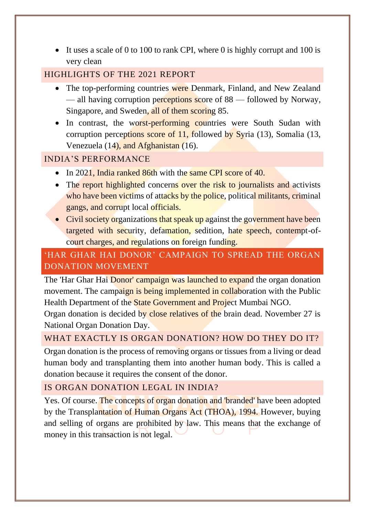• It uses a scale of 0 to 100 to rank CPI, where 0 is highly corrupt and 100 is very clean

#### <span id="page-5-0"></span>HIGHLIGHTS OF THE 2021 REPORT

- The top-performing countries were Denmark, Finland, and New Zealand — all having corruption perceptions score of 88 — followed by Norway, Singapore, and Sweden, all of them scoring 85.
- In contrast, the worst-performing countries were South Sudan with corruption perceptions score of 11, followed by Syria (13), Somalia (13, Venezuela (14), and Afghanistan (16).

#### <span id="page-5-1"></span>INDIA'S PERFORMANCE

- In 2021, India ranked 86th with the same CPI score of 40.
- The report highlighted concerns over the risk to journalists and activists who have been victims of attacks by the police, political militants, criminal gangs, and corrupt local officials.
- Civil society organizations that speak up against the government have been targeted with security, defamation, sedition, hate speech, contempt-ofcourt charges, and regulations on foreign funding.

#### <span id="page-5-2"></span>'HAR GHAR HAI DONOR' CAMPAIGN TO SPREAD THE ORGAN DONATION MOVEMENT

The 'Har Ghar Hai Donor' campaign was launched to expand the organ donation movement. The campaign is being implemented in collaboration with the Public Health Department of the State Government and Project Mumbai NGO.

Organ donation is decided by close relatives of the brain dead. November 27 is National Organ Donation Day.

#### <span id="page-5-3"></span>WHAT EXACTLY IS ORGAN DONATION? HOW DO THEY DO IT?

Organ donation is the process of removing organs or tissues from a living or dead human body and transplanting them into another human body. This is called a donation because it requires the consent of the donor.

#### <span id="page-5-4"></span>IS ORGAN DONATION LEGAL IN INDIA?

Yes. Of course. The concepts of organ donation and 'branded' have been adopted by the Transplantation of Human Organs Act (THOA), 1994. However, buying and selling of organs are prohibited by law. This means that the exchange of money in this transaction is not legal.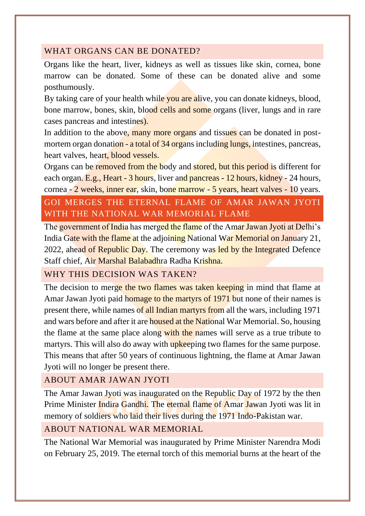#### <span id="page-6-0"></span>WHAT ORGANS CAN BE DONATED?

Organs like the heart, liver, kidneys as well as tissues like skin, cornea, bone marrow can be donated. Some of these can be donated alive and some posthumously.

By taking care of your health while you are alive, you can donate kidneys, blood, bone marrow, bones, skin, blood cells and some organs (liver, lungs and in rare cases pancreas and intestines).

In addition to the above, many more organs and tissues can be donated in postmortem organ donation - a total of 34 organs including lungs, intestines, pancreas, heart valves, heart, blood vessels.

Organs can be removed from the body and stored, but this period is different for each organ. E.g., Heart - 3 hours, liver and pancreas - 12 hours, kidney - 24 hours, cornea - 2 weeks, inner ear, skin, bone marrow - 5 years, heart valves - 10 years.

#### <span id="page-6-1"></span>GOI MERGES THE ETERNAL FLAME OF AMAR JAWAN JYOTI WITH THE NATIONAL WAR MEMORIAL FLAME

The government of India has merged the flame of the Amar Jawan Jyoti at Delhi's India Gate with the flame at the adjoining National War Memorial on January 21, 2022, ahead of Republic Day. The ceremony was led by the Integrated Defence Staff chief, Air Marshal Balabadhra Radha Krishna.

#### <span id="page-6-2"></span>WHY THIS DECISION WAS TAKEN?

The decision to merge the two flames was taken keeping in mind that flame at Amar Jawan Jyoti paid homage to the martyrs of 1971 but none of their names is present there, while names of all Indian martyrs from all the wars, including 1971 and wars before and after it are housed at the National War Memorial. So, housing the flame at the same place along with the names will serve as a true tribute to martyrs. This will also do away with upkeeping two flames for the same purpose. This means that after 50 years of continuous lightning, the flame at Amar Jawan Jyoti will no longer be present there.

#### <span id="page-6-3"></span>ABOUT AMAR JAWAN JYOTI

The Amar Jawan Jyoti was inaugurated on the Republic Day of 1972 by the then Prime Minister Indira Gandhi. The eternal flame of Amar Jawan Jyoti was lit in memory of soldiers who laid their lives during the 1971 Indo-Pakistan war.

#### <span id="page-6-4"></span>ABOUT NATIONAL WAR MEMORIAL

The National War Memorial was inaugurated by Prime Minister Narendra Modi on February 25, 2019. The eternal torch of this memorial burns at the heart of the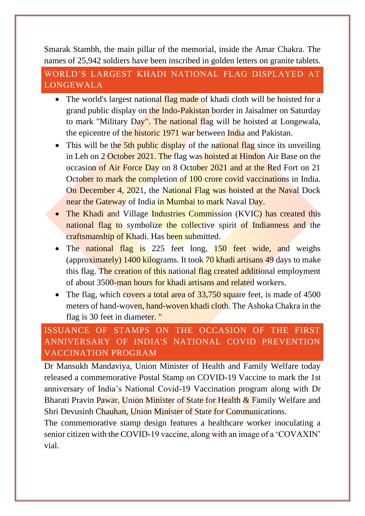Smarak Stambh, the main pillar of the memorial, inside the Amar Chakra. The names of 25,942 soldiers have been inscribed in golden letters on granite tablets.

#### <span id="page-7-0"></span>WORLD'S LARGEST KHADI NATIONAL FLAG DISPLAYED AT LONGEWALA

- The world's largest national flag made of khadi cloth will be hoisted for a grand public display on the Indo-Pakistan border in Jaisalmer on Saturday to mark "Military Day". The national flag will be hoisted at Longewala, the epicentre of the historic 1971 war between India and Pakistan.
- This will be the 5th public display of the national flag since its unveiling in Leh on 2 October 2021. The flag was hoisted at Hindon Air Base on the occasion of Air Force Day on 8 October 2021 and at the Red Fort on 21 October to mark the completion of 100 crore covid vaccinations in India. On December 4, 2021, the National Flag was hoisted at the Naval Dock near the Gateway of India in Mumbai to mark Naval Day.
- The Khadi and Village Industries Commission (KVIC) has created this national flag to symbolize the collective spirit of Indianness and the craftsmanship of Khadi. Has been submitted.
- The national flag is 225 feet long, 150 feet wide, and weighs (approximately) 1400 kilograms. It took 70 khadi artisans 49 days to make this flag. The creation of this national flag created additional employment of about 3500-man hours for khadi artisans and related workers.
- The flag, which covers a total area of 33,750 square feet, is made of 4500 meters of hand-woven, hand-woven khadi cloth. The Ashoka Chakra in the flag is 30 feet in diameter. "

#### <span id="page-7-1"></span>ISSUANCE OF STAMPS ON THE OCCASION OF THE FIRST ANNIVERSARY OF INDIA'S NATIONAL COVID PREVENTION VACCINATION PROGRAM

Dr Mansukh Mandaviya, Union Minister of Health and Family Welfare today released a commemorative Postal Stamp on COVID-19 Vaccine to mark the 1st anniversary of India's National Covid-19 Vaccination program along with Dr Bharati Pravin Pawar, Union Minister of State for Health & Family Welfare and Shri Devusinh Chauhan, Union Minister of State for Communications.

The commemorative stamp design features a healthcare worker inoculating a senior citizen with the COVID-19 vaccine, along with an image of a 'COVAXIN' vial.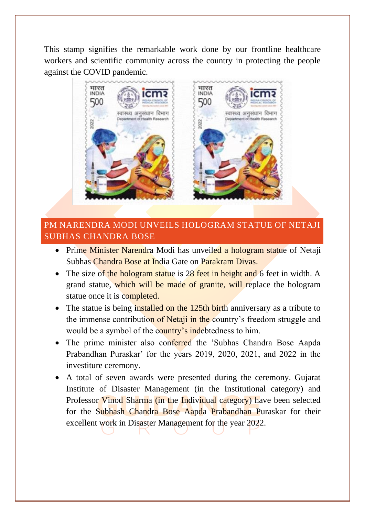This stamp signifies the remarkable work done by our frontline healthcare workers and scientific community across the country in protecting the people against the COVID pandemic.



#### <span id="page-8-0"></span>PM NARENDRA MODI UNVEILS HOLOGRAM STATUE OF NETAJI SUBHAS CHANDRA BOSE

- Prime Minister Narendra Modi has unveiled a hologram statue of Netaji Subhas Chandra Bose at India Gate on Parakram Divas.
- The size of the hologram statue is 28 feet in height and 6 feet in width. A grand statue, which will be made of granite, will replace the hologram statue once it is completed.
- The statue is being installed on the 125th birth anniversary as a tribute to the immense contribution of Netaji in the country's freedom struggle and would be a symbol of the country's indebtedness to him.
- The prime minister also conferred the 'Subhas Chandra Bose Aapda Prabandhan Puraskar' for the years 2019, 2020, 2021, and 2022 in the investiture ceremony.
- A total of seven awards were presented during the ceremony. Gujarat Institute of Disaster Management (in the Institutional category) and Professor Vinod Sharma (in the Individual category) have been selected for the Subhash Chandra Bose Aapda Prabandhan Puraskar for their excellent work in Disaster Management for the year 2022.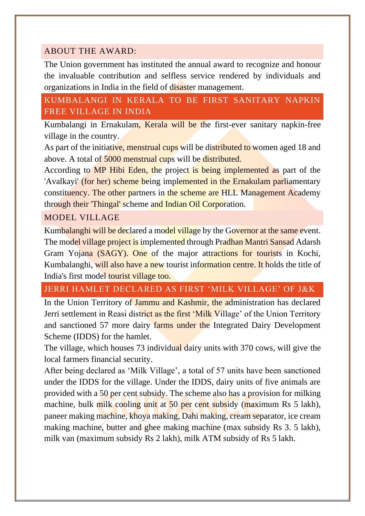#### <span id="page-9-0"></span>ABOUT THE AWARD:

The Union government has instituted the annual award to recognize and honour the invaluable contribution and selfless service rendered by individuals and organizations in India in the field of disaster management.

<span id="page-9-1"></span>KUMBALANGI IN KERALA TO BE FIRST SANITARY NAPKIN FREE VILLAGE IN INDIA

Kumbalangi in Ernakulam, Kerala will be the first-ever sanitary napkin-free village in the country.

As part of the initiative, menstrual cups will be distributed to women aged 18 and above. A total of 5000 menstrual cups will be distributed.

According to MP Hibi Eden, the project is being implemented as part of the 'Avalkayi' (for her) scheme being implemented in the Ernakulam parliamentary constituency. The other partners in the scheme are HLL Management Academy through their 'Thingal' scheme and Indian Oil Corporation.

#### <span id="page-9-2"></span>MODEL VILLAGE

Kumbalanghi will be declared a model village by the Governor at the same event. The model village project is implemented through Pradhan Mantri Sansad Adarsh Gram Yojana (SAGY). One of the major attractions for tourists in Kochi, Kumbalanghi, will also have a new tourist information centre. It holds the title of India's first model tourist village too.

#### <span id="page-9-3"></span>JERRI HAMLET DECLARED AS FIRST 'MILK VILLAGE' OF J&K

In the Union Territory of Jammu and Kashmir, the administration has declared Jerri settlement in Reasi district as the first 'Milk Village' of the Union Territory and sanctioned 57 more dairy farms under the Integrated Dairy Development Scheme (IDDS) for the hamlet.

The village, which houses 73 individual dairy units with 370 cows, will give the local farmers financial security.

After being declared as 'Milk Village', a total of 57 units have been sanctioned under the IDDS for the village. Under the IDDS, dairy units of five animals are provided with a 50 per cent subsidy. The scheme also has a provision for milking machine, bulk milk cooling unit at 50 per cent subsidy (maximum Rs 5 lakh), paneer making machine, khoya making, Dahi making, cream separator, ice cream making machine, butter and ghee making machine (max subsidy Rs 3. 5 lakh), milk van (maximum subsidy Rs 2 lakh), milk ATM subsidy of Rs 5 lakh.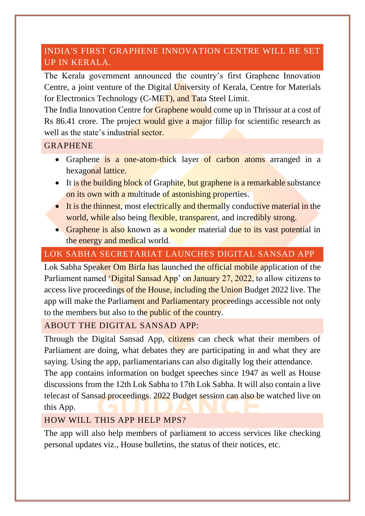#### <span id="page-10-0"></span>INDIA'S FIRST GRAPHENE INNOVATION CENTRE WILL BE SET UP IN KERALA.

The Kerala government announced the country's first Graphene Innovation Centre, a joint venture of the Digital University of Kerala, Centre for Materials for Electronics Technology (C-MET), and Tata Steel Limit.

The India Innovation Centre for Graphene would come up in Thrissur at a cost of Rs 86.41 crore. The project would give a major fillip for scientific research as well as the state's industrial sector.

#### <span id="page-10-1"></span>**GRAPHENE**

- Graphene is a one-atom-thick layer of carbon atoms arranged in a hexagonal lattice.
- It is the building block of Graphite, but graphene is a remarkable substance on its own with a multitude of astonishing properties.
- It is the thinnest, most electrically and thermally conductive material in the world, while also being flexible, transparent, and incredibly strong.
- Graphene is also known as a wonder material due to its vast potential in the energy and medical world.

#### <span id="page-10-2"></span>LOK SABHA SECRETARIAT LAUNCHES DIGITAL SANSAD APP

Lok Sabha Speaker Om Birla has launched the official mobile application of the Parliament named 'Digital Sansad App' on January 27, 2022, to allow citizens to access live proceedings of the House, including the Union Budget 2022 live. The app will make the Parliament and Parliamentary proceedings accessible not only to the members but also to the public of the country.

#### <span id="page-10-3"></span>ABOUT THE DIGITAL SANSAD APP:

Through the Digital Sansad App, citizens can check what their members of Parliament are doing, what debates they are participating in and what they are saying. Using the app, parliamentarians can also digitally log their attendance. The app contains information on budget speeches since 1947 as well as House discussions from the 12th Lok Sabha to 17th Lok Sabha. It will also contain a live telecast of Sansad proceedings. 2022 Budget session can also be watched live on this App.

#### <span id="page-10-4"></span>HOW WILL THIS APP HELP MPS?

The app will also help members of parliament to access services like checking personal updates viz., House bulletins, the status of their notices, etc.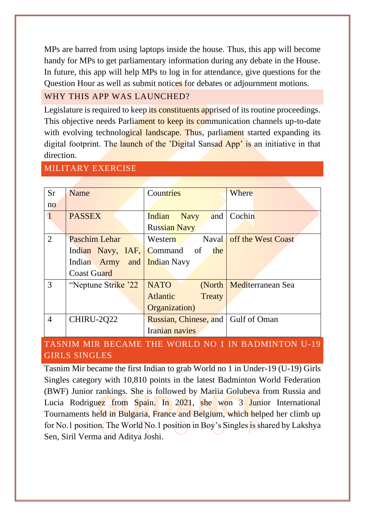MPs are barred from using laptops inside the house. Thus, this app will become handy for MPs to get parliamentary information during any debate in the House. In future, this app will help MPs to log in for attendance, give questions for the Question Hour as well as submit notices for debates or adjournment motions.

#### <span id="page-11-0"></span>WHY THIS APP WAS LAUNCHED?

Legislature is required to keep its constituents apprised of its routine proceedings. This objective needs Parliament to keep its communication channels up-to-date with evolving technological landscape. Thus, parliament started expanding its digital footprint. The launch of the 'Digital Sansad App' is an initiative in that direction.

#### <span id="page-11-1"></span>MILITARY EXERCISE

| <b>Sr</b>      | Name                         | Countries                    | Where                    |
|----------------|------------------------------|------------------------------|--------------------------|
| no             |                              |                              |                          |
|                | <b>PASSEX</b>                | and<br>Indian<br><b>Navy</b> | Cochin                   |
|                |                              | <b>Russian Navy</b>          |                          |
| $\overline{2}$ | Paschim Lehar                | Western                      | Naval off the West Coast |
|                | Indian Navy, IAF, Command of | the                          |                          |
|                | Indian Army and Indian Navy  |                              |                          |
|                | <b>Coast Guard</b>           |                              |                          |
| 3              | "Neptune Strike '22          | <b>NATO</b><br>(North        | Mediterranean Sea        |
|                |                              | <b>Atlantic</b><br>Treaty    |                          |
|                |                              | Organization)                |                          |
| $\overline{4}$ | CHIRU-2Q22                   | Russian, Chinese, and        | Gulf of Oman             |
|                |                              | Iranian navies               |                          |

#### <span id="page-11-2"></span>TASNIM MIR BECAME THE WORLD NO 1 IN BADMINTON U-19 GIRLS SINGLES

Tasnim Mir became the first Indian to grab World no 1 in Under-19 (U-19) Girls Singles category with 10,810 points in the latest Badminton World Federation (BWF) Junior rankings. She is followed by Mariia Golubeva from Russia and Lucia Rodriguez from Spain. In 2021, she won 3 Junior International Tournaments held in Bulgaria, France and Belgium, which helped her climb up for No.1 position. The World No.1 position in Boy's Singles is shared by Lakshya Sen, Siril Verma and Aditya Joshi.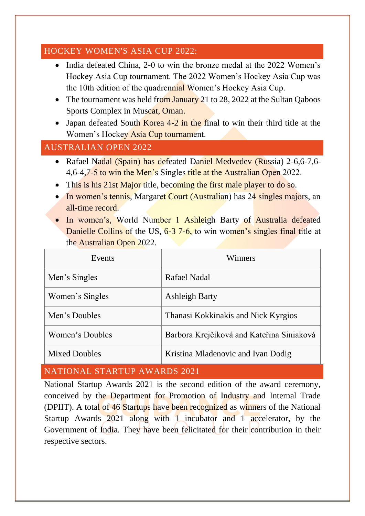#### <span id="page-12-0"></span>HOCKEY WOMEN'S ASIA CUP 2022:

- India defeated China, 2-0 to win the bronze medal at the 2022 Women's Hockey Asia Cup tournament. The 2022 Women's Hockey Asia Cup was the 10th edition of the quadrennial Women's Hockey Asia Cup.
- The tournament was held from January 21 to 28, 2022 at the Sultan Oaboos Sports Complex in Muscat, Oman.
- Japan defeated South Korea 4-2 in the final to win their third title at the Women's Hockey Asia Cup tournament.

#### <span id="page-12-1"></span>AUSTRALIAN OPEN 2022

- Rafael Nadal (Spain) has defeated Daniel Medvedev (Russia) 2-6,6-7,6-4,6-4,7-5 to win the Men's Singles title at the Australian Open 2022.
- This is his 21st Major title, becoming the first male player to do so.
- In women's tennis, Margaret Court (Australian) has 24 singles majors, an all-time record.
- In women's, World Number 1 Ashleigh Barty of Australia defeated Danielle Collins of the US, 6-3 7-6, to win women's singles final title at the Australian Open 2022.

| Events               | Winners                                   |
|----------------------|-------------------------------------------|
| Men's Singles        | Rafael Nadal                              |
| Women's Singles      | <b>Ashleigh Barty</b>                     |
| Men's Doubles        | Thanasi Kokkinakis and Nick Kyrgios       |
| Women's Doubles      | Barbora Krejčíková and Kateřina Siniaková |
| <b>Mixed Doubles</b> | Kristina Mladenovic and Ivan Dodig        |

#### <span id="page-12-2"></span>NATIONAL STARTUP AWARDS 2021

National Startup Awards 2021 is the second edition of the award ceremony, conceived by the Department for Promotion of Industry and Internal Trade (DPIIT). A total of 46 Startups have been recognized as winners of the National Startup Awards 2021 along with 1 incubator and 1 accelerator, by the Government of India. They have been felicitated for their contribution in their respective sectors.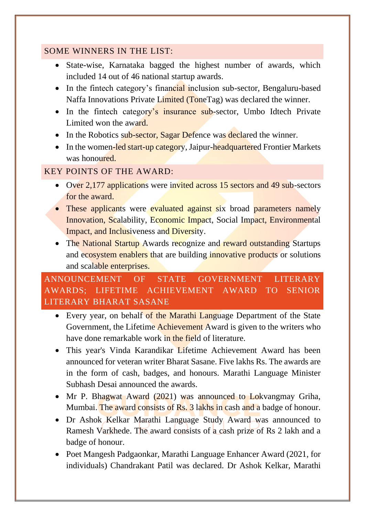#### <span id="page-13-0"></span>SOME WINNERS IN THE LIST:

- State-wise, Karnataka bagged the highest number of awards, which included 14 out of 46 national startup awards.
- In the fintech category's financial inclusion sub-sector, Bengaluru-based Naffa Innovations Private Limited (ToneTag) was declared the winner.
- In the fintech category's insurance sub-sector, Umbo Idtech Private Limited won the award.
- In the Robotics sub-sector, Sagar Defence was declared the winner.
- In the women-led start-up category, Jaipur-headquartered Frontier Markets was honoured.

#### <span id="page-13-1"></span>KEY POINTS OF THE AWARD:

- Over 2,177 applications were invited across 15 sectors and 49 sub-sectors for the award.
- These applicants were evaluated against six broad parameters namely Innovation, Scalability, Economic Impact, Social Impact, Environmental Impact, and Inclusiveness and Diversity.
- The National Startup Awards recognize and reward outstanding Startups and ecosystem enablers that are building innovative products or solutions and scalable enterprises.

#### <span id="page-13-2"></span>ANNOUNCEMENT OF STATE GOVERNMENT LITERARY AWARDS; LIFETIME ACHIEVEMENT AWARD TO SENIOR LITERARY BHARAT SASANE

- Every year, on behalf of the Marathi Language Department of the State Government, the Lifetime Achievement Award is given to the writers who have done remarkable work in the field of literature.
- This year's Vinda Karandikar Lifetime Achievement Award has been announced for veteran writer Bharat Sasane. Five lakhs Rs. The awards are in the form of cash, badges, and honours. Marathi Language Minister Subhash Desai announced the awards.
- Mr P. Bhagwat Award (2021) was announced to Lokvangmay Griha, Mumbai. The award consists of Rs. 3 lakhs in cash and a badge of honour.
- Dr Ashok Kelkar Marathi Language Study Award was announced to Ramesh Varkhede. The award consists of a cash prize of Rs 2 lakh and a badge of honour.
- Poet Mangesh Padgaonkar, Marathi Language Enhancer Award (2021, for individuals) Chandrakant Patil was declared. Dr Ashok Kelkar, Marathi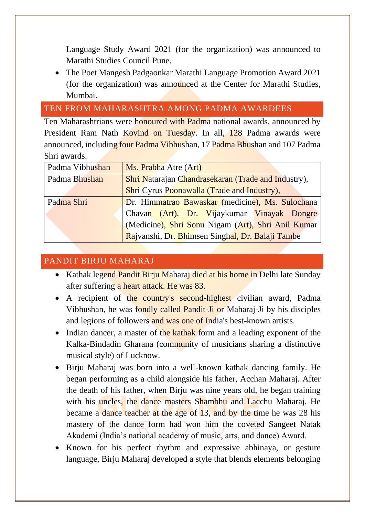Language Study Award 2021 (for the organization) was announced to Marathi Studies Council Pune.

• The Poet Mangesh Padgaonkar Marathi Language Promotion Award 2021 (for the organization) was announced at the Center for Marathi Studies, Mumbai.

#### <span id="page-14-0"></span>TEN FROM MAHARASHTRA AMONG PADMA AWARDEES

Ten Maharashtrians were honoured with Padma national awards, announced by President Ram Nath Kovind on Tuesday. In all, 128 Padma awards were announced, including four Padma Vibhushan, 17 Padma Bhushan and 107 Padma Shri awards.

| Padma Vibhushan | Ms. Prabha Atre (Art)                               |  |  |
|-----------------|-----------------------------------------------------|--|--|
| Padma Bhushan   | Shri Natarajan Chandrasekaran (Trade and Industry), |  |  |
|                 | <b>Shri Cyrus Poonawalla (Trade and Industry),</b>  |  |  |
| Padma Shri      | Dr. Himmatrao Bawaskar (medicine), Ms. Sulochana    |  |  |
|                 | Chavan (Art), Dr. Vijaykumar Vinayak Dongre         |  |  |
|                 | (Medicine), Shri Sonu Nigam (Art), Shri Anil Kumar  |  |  |
|                 | Rajvanshi, Dr. Bhimsen Singhal, Dr. Balaji Tambe    |  |  |

#### <span id="page-14-1"></span>PANDIT BIRJU MAHARAJ

- Kathak legend Pandit Birju Maharaj died at his home in Delhi late Sunday after suffering a heart attack. He was 83.
- A recipient of the country's second-highest civilian award, Padma Vibhushan, he was fondly called Pandit-Ji or Maharaj-Ji by his disciples and legions of followers and was one of India's best-known artists.
- Indian dancer, a master of the kathak form and a leading exponent of the Kalka-Bindadin Gharana (community of musicians sharing a distinctive musical style) of Lucknow.
- Birju Maharaj was born into a well-known kathak dancing family. He began performing as a child alongside his father, Acchan Maharaj. After the death of his father, when Birju was nine years old, he began training with his uncles, the dance masters Shambhu and Lacchu Maharaj. He became a dance teacher at the age of 13, and by the time he was 28 his mastery of the dance form had won him the coveted Sangeet Natak Akademi (India's national academy of music, arts, and dance) Award.
- Known for his perfect rhythm and expressive abhinaya, or gesture language, Birju Maharaj developed a style that blends elements belonging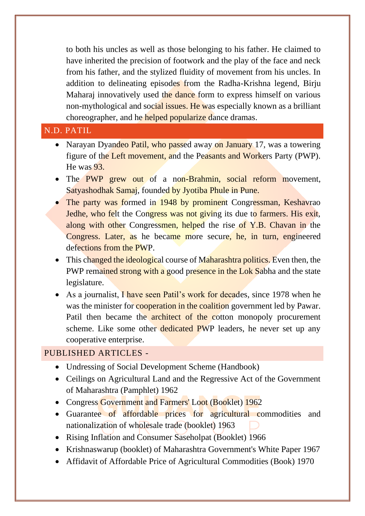to both his uncles as well as those belonging to his father. He claimed to have inherited the precision of footwork and the play of the face and neck from his father, and the stylized fluidity of movement from his uncles. In addition to delineating episodes from the Radha-Krishna legend, Birju Maharaj innovatively used the dance form to express himself on various non-mythological and social issues. He was especially known as a brilliant choreographer, and he helped popularize dance dramas.

#### <span id="page-15-0"></span>N.D. PATIL

- Narayan Dyandeo Patil, who passed away on January 17, was a towering figure of the Left movement, and the Peasants and Workers Party (PWP). He was **93.**
- The PWP grew out of a non-Brahmin, social reform movement, Satyashodhak Samaj, founded by Jyotiba Phule in Pune.
- The party was formed in 1948 by prominent Congressman, Keshavrao Jedhe, who felt the Congress was not giving its due to farmers. His exit, along with other Congressmen, helped the rise of Y.B. Chavan in the Congress. Later, as he became more secure, he, in turn, engineered defections from the PWP.
- This changed the ideological course of Maharashtra politics. Even then, the PWP remained strong with a good presence in the Lok Sabha and the state legislature.
- As a journalist, I have seen Patil's work for decades, since 1978 when he was the minister for **cooperation in the coalition** government led by Pawar. Patil then became the architect of the cotton monopoly procurement scheme. Like some other dedicated PWP leaders, he never set up any cooperative enterprise.

#### <span id="page-15-1"></span>PUBLISHED ARTICLES -

- Undressing of Social Development Scheme (Handbook)
- Ceilings on Agricultural Land and the Regressive Act of the Government of Maharashtra (Pamphlet) 1962
- Congress Government and Farmers' Loot (Booklet) 1962
- Guarantee of affordable prices for agricultural commodities and nationalization of wholesale trade (booklet) 1963
- Rising Inflation and Consumer Saseholpat (Booklet) 1966
- Krishnaswarup (booklet) of Maharashtra Government's White Paper 1967
- Affidavit of Affordable Price of Agricultural Commodities (Book) 1970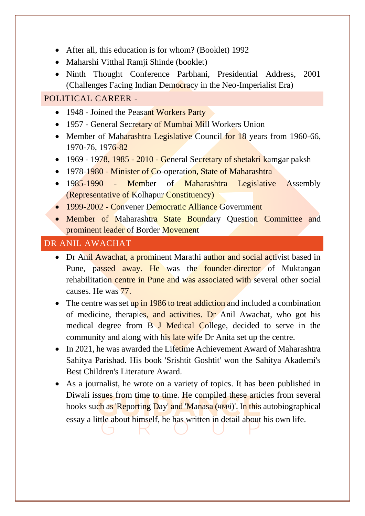- After all, this education is for whom? (Booklet) 1992
- Maharshi Vitthal Ramji Shinde (booklet)
- Ninth Thought Conference Parbhani, Presidential Address, 2001 (Challenges Facing Indian Democracy in the Neo-Imperialist Era)

#### <span id="page-16-0"></span>POLITICAL CAREER -

- 1948 Joined the Peasant Workers Party
- 1957 General Secretary of Mumbai Mill Workers Union
- Member of Maharashtra Legislative Council for 18 years from 1960-66, 1970-76, 1976-82
- 1969 1978, 1985 2010 General Secretary of shetakri kamgar paksh
- 1978-1980 Minister of Co-operation, State of Maharashtra
- 1985-1990 Member of Maharashtra Legislative Assembly (Representative of Kolhapur Constituency)
- 1999-2002 Convener Democratic Alliance Government
- Member of Maharashtra State Boundary Ouestion Committee and prominent leader of Border Movement

#### <span id="page-16-1"></span>DR ANIL AWACHAT

- Dr Anil Awachat, a prominent Marathi author and social activist based in Pune, passed away. He was the founder-director of Muktangan rehabilitation centre in Pune and was associated with several other social causes. He was 77.
- The centre was set up in 1986 to treat addiction and included a combination of medicine, therapies, and activities. Dr Anil Awachat, who got his medical degree from B J Medical College, decided to serve in the community and along with his late wife Dr Anita set up the centre.
- In 2021, he was awarded the Lifetime Achievement Award of Maharashtra Sahitya Parishad. His book 'Srishtit Goshtit' won the Sahitya Akademi's Best Children's Literature Award.
- As a journalist, he wrote on a variety of topics. It has been published in Diwali issues from time to time. He compiled these articles from several books such as 'Reporting Day' and 'Manasa (माणसं)'. In this autobiographical essay a little about himself, he has written in detail about his own life.